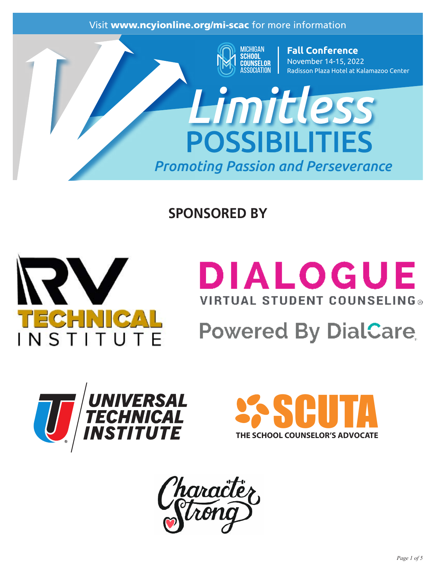

## **SPONSORED BY**



# **DIALOGUE VIRTUAL STUDENT COUNSELING®**

# **Powered By DialCare**





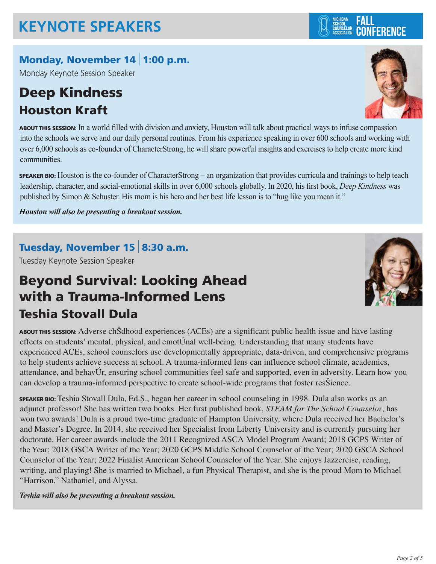#### Monday, November 14 1:00 p.m.

Monday Keynote Session Speaker

## Deep Kindness Houston Kraft

ABOUT THIS SESSION: In a world filled with division and anxiety, Houston will talk about practical ways to infuse compassion into the schools we serve and our daily personal routines. From his experience speaking in over 600 schools and working with over 6,000 schools as co-founder of CharacterStrong, he will share powerful insights and exercises to help create more kind communities.

SPEAKER BIO: Houston is the co-founder of CharacterStrong – an organization that provides curricula and trainings to help teach leadership, character, and social-emotional skills in over 6,000 schools globally. In 2020, his first book, *Deep Kindness* was published by Simon & Schuster. His mom is his hero and her best life lesson is to "hug like you mean it."

*Houston will also be presenting a breakout session.*

#### Tuesday, November 15 8:30 a.m.

Tuesday Keynote Session Speaker

### Beyond Survival: Looking Ahead with a Trauma-Informed Lens Teshia Stovall Dula

ABOUT THIS SESSION: Adverse chSdhood experiences (ACEs) are a significant public health issue and have lasting effects on students' mental, physical, and emot $\acute{U}$ nal well-being. Understanding that many students have experienced ACEs, school counselors use developmentally appropriate, data-driven, and comprehensive programs to help students achieve success at school. A trauma-informed lens can influence school climate, academics, attendance, and behavUr, ensuring school communities feel safe and supported, even in adversity. Learn how you can develop a trauma-informed perspective to create school-wide programs that foster resSience.

SPEAKER BIO: Teshia Stovall Dula, Ed.S., began her career in school counseling in 1998. Dula also works as an adjunct professor! She has written two books. Her first published book, *STEAM for The School Counselor*, has won two awards! Dula is a proud two-time graduate of Hampton University, where Dula received her Bachelor's and Master's Degree. In 2014, she received her Specialist from Liberty University and is currently pursuing her doctorate. Her career awards include the 2011 Recognized ASCA Model Program Award; 2018 GCPS Writer of the Year; 2018 GSCA Writer of the Year; 2020 GCPS Middle School Counselor of the Year; 2020 GSCA School Counselor of the Year; 2022 Finalist American School Counselor of the Year. She enjoys Jazzercise, reading, writing, and playing! She is married to Michael, a fun Physical Therapist, and she is the proud Mom to Michael "Harrison," Nathaniel, and Alyssa.

#### *Teshia will also be presenting a breakout session.*







# **CONFERENCE**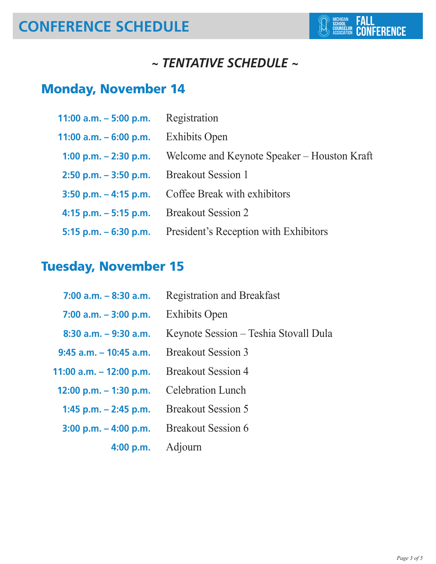## **CONFERENCE SCHEDULE**

#### *~ TENTATIVE SCHEDULE ~*

### Monday, November 14

| 11:00 a.m. $-5:00$ p.m.  | Registration                                |
|--------------------------|---------------------------------------------|
| 11:00 a.m. $-6:00$ p.m.  | <b>Exhibits Open</b>                        |
| 1:00 p.m. $-$ 2:30 p.m.  | Welcome and Keynote Speaker – Houston Kraft |
| $2:50$ p.m. $-3:50$ p.m. | <b>Breakout Session 1</b>                   |
| $3:50$ p.m. $-4:15$ p.m. | Coffee Break with exhibitors                |
| $4:15$ p.m. $-5:15$ p.m. | <b>Breakout Session 2</b>                   |
| 5:15 p.m. $-6:30$ p.m.   | President's Reception with Exhibitors       |

### Tuesday, November 15

| $7:00$ a.m. $-8:30$ a.m.  | <b>Registration and Breakfast</b>     |
|---------------------------|---------------------------------------|
| $7:00$ a.m. $-3:00$ p.m.  | <b>Exhibits Open</b>                  |
| $8:30$ a.m. $-9:30$ a.m.  | Keynote Session – Teshia Stovall Dula |
| $9:45$ a.m. $-10:45$ a.m. | <b>Breakout Session 3</b>             |
| 11:00 a.m. - 12:00 p.m.   | <b>Breakout Session 4</b>             |
| 12:00 p.m. $-$ 1:30 p.m.  | <b>Celebration Lunch</b>              |
| 1:45 p.m. $-$ 2:45 p.m.   | <b>Breakout Session 5</b>             |
| $3:00$ p.m. $-$ 4:00 p.m. | <b>Breakout Session 6</b>             |
| 4:00 p.m.                 | Adjourn                               |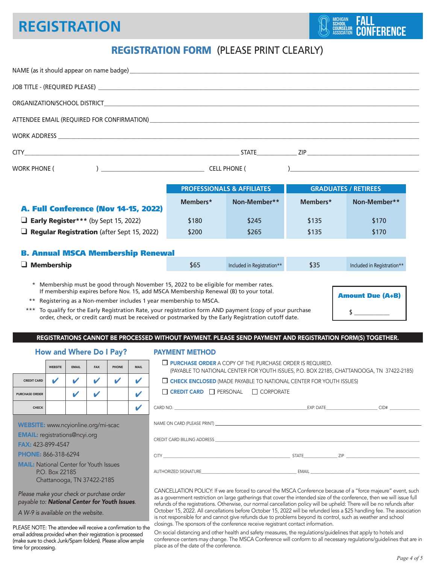### **REGISTRATION Facture 1**

#### REGISTRATION FORM (PLEASE PRINT CLEARLY)

|                                                                                                                                                                  |                |              |            |                                |                                                                                                                                                                                                                                                                                                                                                                                                                                                                                                                                                                                                              |                                                                                                                                                                                |                                                                                                                                                                                                                                                                                                                                                                | NAME (as it should appear on name badge) example a state of the state of the state of the state of the state of the state of the state of the state of the state of the state of the state of the state of the state of the st |                             |                            |  |  |
|------------------------------------------------------------------------------------------------------------------------------------------------------------------|----------------|--------------|------------|--------------------------------|--------------------------------------------------------------------------------------------------------------------------------------------------------------------------------------------------------------------------------------------------------------------------------------------------------------------------------------------------------------------------------------------------------------------------------------------------------------------------------------------------------------------------------------------------------------------------------------------------------------|--------------------------------------------------------------------------------------------------------------------------------------------------------------------------------|----------------------------------------------------------------------------------------------------------------------------------------------------------------------------------------------------------------------------------------------------------------------------------------------------------------------------------------------------------------|--------------------------------------------------------------------------------------------------------------------------------------------------------------------------------------------------------------------------------|-----------------------------|----------------------------|--|--|
|                                                                                                                                                                  |                |              |            |                                |                                                                                                                                                                                                                                                                                                                                                                                                                                                                                                                                                                                                              |                                                                                                                                                                                |                                                                                                                                                                                                                                                                                                                                                                |                                                                                                                                                                                                                                |                             |                            |  |  |
|                                                                                                                                                                  |                |              |            |                                |                                                                                                                                                                                                                                                                                                                                                                                                                                                                                                                                                                                                              |                                                                                                                                                                                |                                                                                                                                                                                                                                                                                                                                                                |                                                                                                                                                                                                                                |                             |                            |  |  |
|                                                                                                                                                                  |                |              |            |                                |                                                                                                                                                                                                                                                                                                                                                                                                                                                                                                                                                                                                              |                                                                                                                                                                                |                                                                                                                                                                                                                                                                                                                                                                |                                                                                                                                                                                                                                |                             |                            |  |  |
|                                                                                                                                                                  |                |              |            |                                |                                                                                                                                                                                                                                                                                                                                                                                                                                                                                                                                                                                                              |                                                                                                                                                                                |                                                                                                                                                                                                                                                                                                                                                                |                                                                                                                                                                                                                                |                             |                            |  |  |
|                                                                                                                                                                  |                |              |            |                                |                                                                                                                                                                                                                                                                                                                                                                                                                                                                                                                                                                                                              |                                                                                                                                                                                |                                                                                                                                                                                                                                                                                                                                                                |                                                                                                                                                                                                                                |                             |                            |  |  |
| WORK PHONE (                                                                                                                                                     |                |              |            |                                |                                                                                                                                                                                                                                                                                                                                                                                                                                                                                                                                                                                                              |                                                                                                                                                                                |                                                                                                                                                                                                                                                                                                                                                                |                                                                                                                                                                                                                                |                             |                            |  |  |
|                                                                                                                                                                  |                |              |            |                                |                                                                                                                                                                                                                                                                                                                                                                                                                                                                                                                                                                                                              |                                                                                                                                                                                |                                                                                                                                                                                                                                                                                                                                                                |                                                                                                                                                                                                                                |                             |                            |  |  |
|                                                                                                                                                                  |                |              |            |                                |                                                                                                                                                                                                                                                                                                                                                                                                                                                                                                                                                                                                              |                                                                                                                                                                                |                                                                                                                                                                                                                                                                                                                                                                | <b>PROFESSIONALS &amp; AFFILIATES</b>                                                                                                                                                                                          | <b>GRADUATES / RETIREES</b> |                            |  |  |
| A. Full Conference (Nov 14-15, 2022)                                                                                                                             |                |              |            |                                |                                                                                                                                                                                                                                                                                                                                                                                                                                                                                                                                                                                                              |                                                                                                                                                                                | Members*                                                                                                                                                                                                                                                                                                                                                       | Non-Member**                                                                                                                                                                                                                   | Members*                    | Non-Member**               |  |  |
| $\Box$ Early Register*** (by Sept 15, 2022)                                                                                                                      |                |              |            |                                |                                                                                                                                                                                                                                                                                                                                                                                                                                                                                                                                                                                                              |                                                                                                                                                                                | \$180                                                                                                                                                                                                                                                                                                                                                          | \$245                                                                                                                                                                                                                          | \$135                       | \$170                      |  |  |
| $\Box$ Regular Registration (after Sept 15, 2022)                                                                                                                |                |              |            |                                |                                                                                                                                                                                                                                                                                                                                                                                                                                                                                                                                                                                                              |                                                                                                                                                                                | \$200                                                                                                                                                                                                                                                                                                                                                          | \$265                                                                                                                                                                                                                          | \$135                       | \$170                      |  |  |
|                                                                                                                                                                  |                |              |            |                                |                                                                                                                                                                                                                                                                                                                                                                                                                                                                                                                                                                                                              |                                                                                                                                                                                |                                                                                                                                                                                                                                                                                                                                                                |                                                                                                                                                                                                                                |                             |                            |  |  |
| <b>B. Annual MSCA Membership Renewal</b>                                                                                                                         |                |              |            |                                |                                                                                                                                                                                                                                                                                                                                                                                                                                                                                                                                                                                                              |                                                                                                                                                                                |                                                                                                                                                                                                                                                                                                                                                                |                                                                                                                                                                                                                                |                             |                            |  |  |
| $\Box$ Membership                                                                                                                                                |                |              |            |                                |                                                                                                                                                                                                                                                                                                                                                                                                                                                                                                                                                                                                              |                                                                                                                                                                                | \$65                                                                                                                                                                                                                                                                                                                                                           | Included in Registration**                                                                                                                                                                                                     | \$35                        | Included in Registration** |  |  |
| If membership expires before Nov. 15, add MSCA Membership Renewal (B) to your total.<br>Registering as a Non-member includes 1 year membership to MSCA.<br>$***$ |                |              |            |                                |                                                                                                                                                                                                                                                                                                                                                                                                                                                                                                                                                                                                              |                                                                                                                                                                                | <b>Amount Due (A+B)</b><br>To qualify for the Early Registration Rate, your registration form AND payment (copy of your purchase<br>$\sim$<br>order, check, or credit card) must be received or postmarked by the Early Registration cutoff date.<br>REGISTRATIONS CANNOT BE PROCESSED WITHOUT PAYMENT. PLEASE SEND PAYMENT AND REGISTRATION FORM(S) TOGETHER. |                                                                                                                                                                                                                                |                             |                            |  |  |
|                                                                                                                                                                  |                |              |            | <b>How and Where Do I Pay?</b> |                                                                                                                                                                                                                                                                                                                                                                                                                                                                                                                                                                                                              |                                                                                                                                                                                | <b>PAYMENT METHOD</b>                                                                                                                                                                                                                                                                                                                                          |                                                                                                                                                                                                                                |                             |                            |  |  |
|                                                                                                                                                                  | <b>WEBSITE</b> | <b>EMAIL</b> | <b>FAX</b> | <b>PHONE</b>                   | <b>MAIL</b>                                                                                                                                                                                                                                                                                                                                                                                                                                                                                                                                                                                                  | <b><math>\Box</math> PURCHASE ORDER</b> A COPY OF THE PURCHASE ORDER IS REQUIRED.<br>(PAYABLE TO NATIONAL CENTER FOR YOUTH ISSUES, P.O. BOX 22185, CHATTANOOGA, TN 37422-2185) |                                                                                                                                                                                                                                                                                                                                                                |                                                                                                                                                                                                                                |                             |                            |  |  |
| <b>CREDIT CARD</b>                                                                                                                                               | V              |              | V          |                                | v                                                                                                                                                                                                                                                                                                                                                                                                                                                                                                                                                                                                            | $\Box$ CHECK ENCLOSED (MADE PAYABLE TO NATIONAL CENTER FOR YOUTH ISSUES)                                                                                                       |                                                                                                                                                                                                                                                                                                                                                                |                                                                                                                                                                                                                                |                             |                            |  |  |
| <b>PURCHASE ORDER</b>                                                                                                                                            |                | ✔            |            |                                | ✔                                                                                                                                                                                                                                                                                                                                                                                                                                                                                                                                                                                                            | $\Box$ CREDIT CARD $\Box$ PERSONAL $\Box$ CORPORATE                                                                                                                            |                                                                                                                                                                                                                                                                                                                                                                |                                                                                                                                                                                                                                |                             |                            |  |  |
| <b>CHECK</b>                                                                                                                                                     |                |              |            |                                | ✔                                                                                                                                                                                                                                                                                                                                                                                                                                                                                                                                                                                                            |                                                                                                                                                                                |                                                                                                                                                                                                                                                                                                                                                                |                                                                                                                                                                                                                                |                             |                            |  |  |
| WEBSITE: www.ncyionline.org/mi-scac                                                                                                                              |                |              |            |                                |                                                                                                                                                                                                                                                                                                                                                                                                                                                                                                                                                                                                              |                                                                                                                                                                                |                                                                                                                                                                                                                                                                                                                                                                |                                                                                                                                                                                                                                |                             |                            |  |  |
| <b>EMAIL:</b> registrations@ncyi.org                                                                                                                             |                |              |            |                                |                                                                                                                                                                                                                                                                                                                                                                                                                                                                                                                                                                                                              |                                                                                                                                                                                |                                                                                                                                                                                                                                                                                                                                                                |                                                                                                                                                                                                                                |                             |                            |  |  |
| <b>FAX: 423-899-4547</b><br><b>PHONE: 866-318-6294</b>                                                                                                           |                |              |            |                                |                                                                                                                                                                                                                                                                                                                                                                                                                                                                                                                                                                                                              |                                                                                                                                                                                |                                                                                                                                                                                                                                                                                                                                                                |                                                                                                                                                                                                                                |                             |                            |  |  |
| <b>MAIL:</b> National Center for Youth Issues<br>P.O. Box 22185<br>Chattanooga, TN 37422-2185                                                                    |                |              |            |                                |                                                                                                                                                                                                                                                                                                                                                                                                                                                                                                                                                                                                              |                                                                                                                                                                                | AUTHORIZED SIGNATURE <b>AUTHORIZED SIGNATURE AUTHORIZED SIGNATURE AUTHORIZED SIGNATURE</b>                                                                                                                                                                                                                                                                     |                                                                                                                                                                                                                                |                             |                            |  |  |
| Please make your check or purchase order<br>payable to: National Center for Youth Issues.<br>A W-9 is available on the website.                                  |                |              |            |                                | CANCELLATION POLICY: If we are forced to cancel the MSCA Conference because of a "force majeure" event, such<br>as a government restriction on large gatherings that cover the intended size of the conference, then we will issue full<br>refunds of the registrations. Otherwise, our normal cancellation policy will be upheld: There will be no refunds after<br>October 15, 2022. All cancellations before October 15, 2022 will be refunded less a \$25 handling fee. The association<br>is not responsible for and cannot give refunds due to problems beyond its control, such as weather and school |                                                                                                                                                                                |                                                                                                                                                                                                                                                                                                                                                                |                                                                                                                                                                                                                                |                             |                            |  |  |

PLEASE NOTE: The attendee will receive a confirmation to the email address provided when their registration is processed (make sure to check Junk/Spam folders). Please allow ample time for processing.

closings. The sponsors of the conference receive registrant contact information. On social distancing and other health and safety measures, the regulations/guidelines that apply to hotels and conference centers may change. The MSCA Conference will conform to all necessary regulations/guidelines that are in place as of the date of the conference.